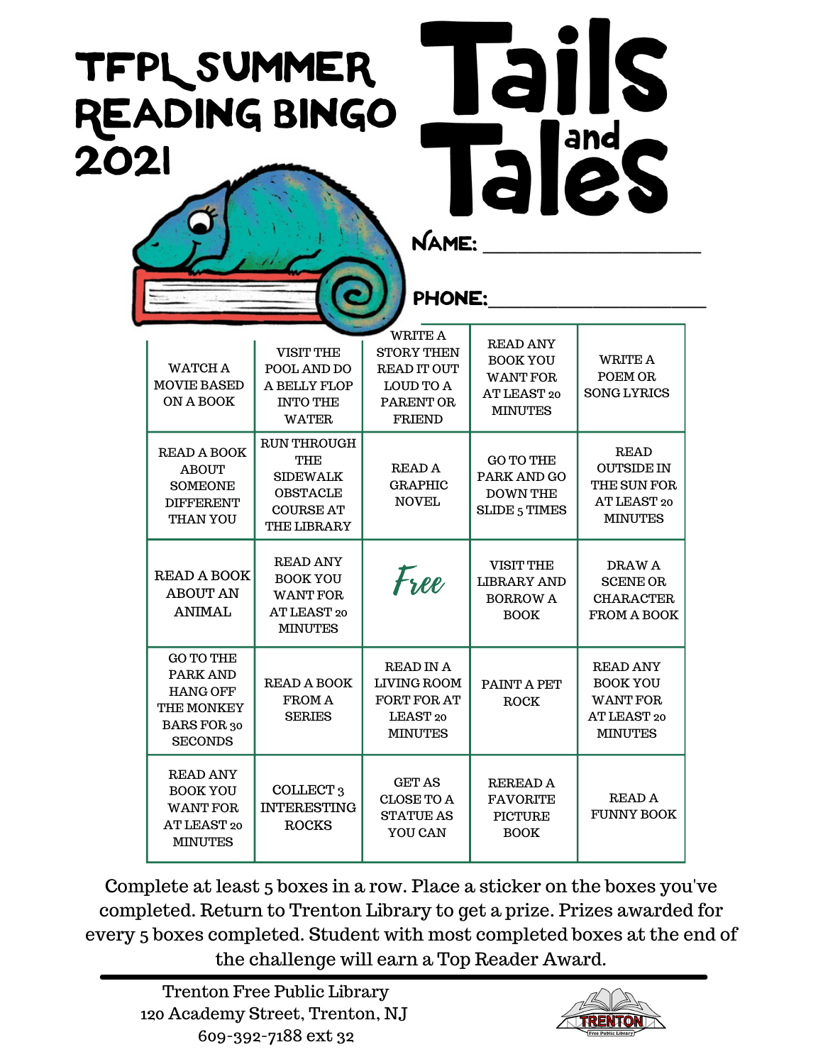## TFPL Summer Reading Bingo 2O21



NAME:

## PHONE:

| <b>WATCH A</b><br><b>MOVIE BASED</b><br>ON A BOOK                                                            | <b>VISIT THE</b><br>POOL AND DO<br>A BELLY FLOP<br><b>INTO THE</b><br><b>WATER</b>                        | <b>WRITE A</b><br><b>STORY THEN</b><br><b>READ IT OUT</b><br><b>LOUD TO A</b><br>PARENT OR<br><b>FRIEND</b> | <b>READ ANY</b><br><b>BOOK YOU</b><br><b>WANT FOR</b><br>AT LEAST 20<br><b>MINUTES</b> | <b>WRITE A</b><br>POEM OR<br><b>SONG LYRICS</b>                                        |
|--------------------------------------------------------------------------------------------------------------|-----------------------------------------------------------------------------------------------------------|-------------------------------------------------------------------------------------------------------------|----------------------------------------------------------------------------------------|----------------------------------------------------------------------------------------|
| <b>READ A BOOK</b><br><b>ABOUT</b><br><b>SOMEONE</b><br><b>DIFFERENT</b><br><b>THAN YOU</b>                  | <b>RUN THROUGH</b><br>THE<br><b>SIDEWALK</b><br><b>OBSTACLE</b><br><b>COURSE AT</b><br><b>THE LIBRARY</b> | READ A<br><b>GRAPHIC</b><br><b>NOVEL</b>                                                                    | <b>GO TO THE</b><br>PARK AND GO<br><b>DOWN THE</b><br><b>SLIDE 5 TIMES</b>             | <b>READ</b><br><b>OUTSIDE IN</b><br>THE SUN FOR<br>AT LEAST 20<br><b>MINUTES</b>       |
| <b>READ A BOOK</b><br><b>ABOUT AN</b><br><b>ANIMAL</b>                                                       | <b>READ ANY</b><br><b>BOOK YOU</b><br><b>WANT FOR</b><br>AT LEAST 20<br><b>MINUTES</b>                    | Free                                                                                                        | <b>VISIT THE</b><br><b>LIBRARY AND</b><br><b>BORROW A</b><br><b>BOOK</b>               | DRAW A<br><b>SCENE OR</b><br><b>CHARACTER</b><br><b>FROM A BOOK</b>                    |
| <b>GO TO THE</b><br><b>PARK AND</b><br><b>HANG OFF</b><br><b>THE MONKEY</b><br>BARS FOR 30<br><b>SECONDS</b> | <b>READ A BOOK</b><br><b>FROM A</b><br><b>SERIES</b>                                                      | <b>READ IN A</b><br><b>LIVING ROOM</b><br><b>FORT FOR AT</b><br>LEAST <sub>20</sub><br><b>MINUTES</b>       | <b>PAINT A PET</b><br>ROCK                                                             | <b>READ ANY</b><br><b>BOOK YOU</b><br><b>WANT FOR</b><br>AT LEAST 20<br><b>MINUTES</b> |
| <b>READ ANY</b><br><b>BOOK YOU</b><br><b>WANT FOR</b><br>AT LEAST 20<br><b>MINUTES</b>                       | COLLECT <sub>3</sub><br><b>INTERESTING</b><br><b>ROCKS</b>                                                | <b>GET AS</b><br><b>CLOSE TO A</b><br><b>STATUE AS</b><br>YOU CAN                                           | <b>REREAD A</b><br><b>FAVORITE</b><br><b>PICTURE</b><br><b>BOOK</b>                    | <b>READ A</b><br><b>FUNNY BOOK</b>                                                     |

Complete at least 5 boxes in a row. Place a sticker on the boxes you've completed. Return to Trenton Library to get a prize. Prizes awarded for every 5 boxes completed. Student with most completed boxes at the end of the challenge will earn a Top Reader Award.

Trenton Free Public Library 120 Academy Street, Trenton, NJ 609-392-7188 ext 32